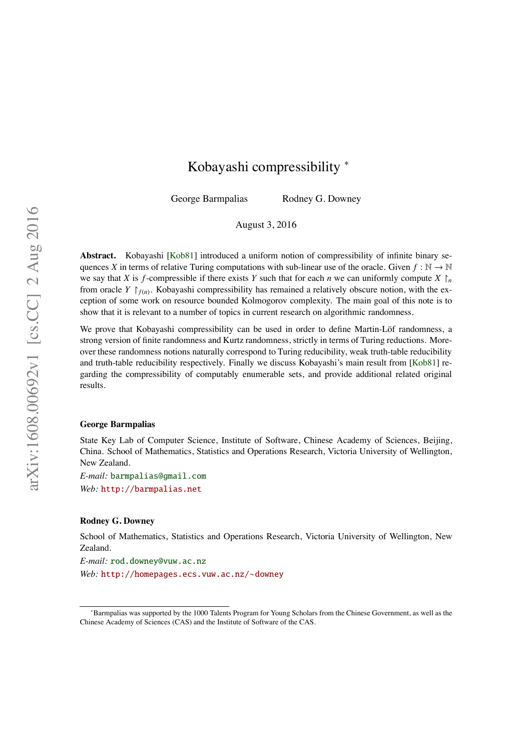# Kobayashi compressibility <sup>∗</sup>

George Barmpalias Rodney G. Downey

August 3, 2016

**Abstract.** Kobayashi [Kob81] introduced a uniform notion of compressibility of infinite binary sequences *X* in terms of relative Turing computations with sub-linear use of the oracle. Given  $f : \mathbb{N} \to \mathbb{N}$ we say that *X* is *f*-compressible if there exists *Y* such that for each *n* we can uniformly compute *X*  $\upharpoonright$ *n* from oracle *Y*  $\upharpoonright$ <sub>*f*(*n*)</sub>. Kobayashi compressibility has remained a relatively obscure notion, with the exception of some work on resource bounded Kolmogorov complexity. The main goal of this note is to show that it is relevant to a number of topics in current research on algorithmic randomness.

We prove that Kobayashi compressibility can be used in order to define Martin-Löf randomness, a strong version of finite randomness and Kurtz randomness, strictly in terms of Turing reductions. Moreover these randomness notions naturally correspond to Turing reducibility, weak truth-table reducibility and truth-table reducibility respectively. Finally we discuss Kobayashi's main result from [Kob81] regarding the compressibility of computably enumerable sets, and provide additional related original results.

#### **George Barmpalias**

State Key Lab of Computer Science, Institute of Software, Chinese Academy of Sciences, Beijing, China. School of Mathematics, Statistics and Operations Research, Victoria University of Wellington, New Zealand.

*E-mail:* barmpalias@gmail.com

*Web:* http://barmpalias.net

#### **Rodney G. Downey**

School of Mathematics, Statistics and Operations Research, Victoria University of Wellington, New Zealand.

*E-mail:* rod.downey@vuw.ac.nz

*Web:* http://homepages.ecs.vuw.ac.nz/∼downey

<sup>∗</sup> Barmpalias was supported by the 1000 Talents Program for Young Scholars from the Chinese Government, as well as the Chinese Academy of Sciences (CAS) and the Institute of Software of the CAS.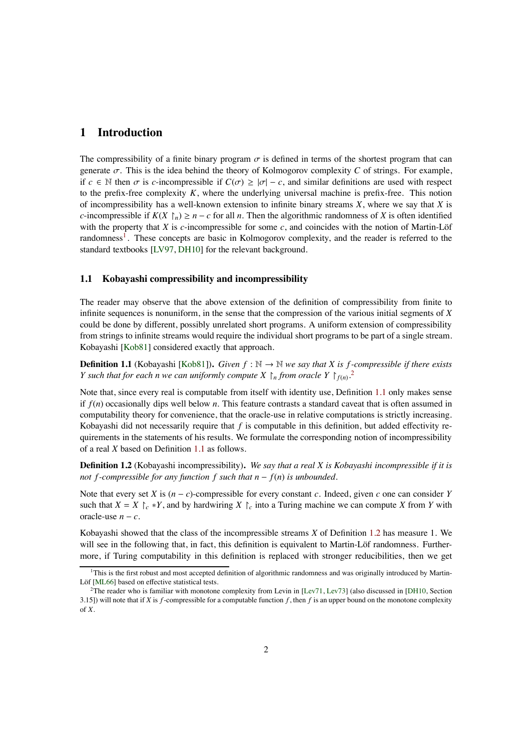# **1 Introduction**

The compressibility of a finite binary program  $\sigma$  is defined in terms of the shortest program that can generate  $\sigma$ . This is the idea behind the theory of Kolmogorov complexity *C* of strings. For example, if  $c \in \mathbb{N}$  then  $\sigma$  is *c*-incompressible if  $C(\sigma) > |\sigma| - c$ , and similar definitions are used with respect to the prefix-free complexity *K*, where the underlying universal machine is prefix-free. This notion of incompressibility has a well-known extension to infinite binary streams *X*, where we say that *X* is *c*-incompressible if  $K(X \nvert n) \ge n - c$  for all *n*. Then the algorithmic randomness of *X* is often identified with the property that *X* is *c*-incompressible for some *c*, and coincides with the notion of Martin-Löf randomness<sup>1</sup>. These concepts are basic in Kolmogorov complexity, and the reader is referred to the standard textbooks [LV97, DH10] for the relevant background.

## **1.1 Kobayashi compressibility and incompressibility**

The reader may observe that the above extension of the definition of compressibility from finite to infinite sequences is nonuniform, in the sense that the compression of the various initial segments of *X* could be done by different, possibly unrelated short programs. A uniform extension of compressibility from strings to infinite streams would require the individual short programs to be part of a single stream. Kobayashi [Kob81] considered exactly that approach.

**Definition 1.1** (Kobayashi [Kob81]). *Given*  $f : \mathbb{N} \to \mathbb{N}$  *we say that X is f-compressible if there exists Y* such that for each *n* we can uniformly compute *X*  $\int_{n}$  *from oracle Y*  $\int_{f(n)}$ .<sup>2</sup>

Note that, since every real is computable from itself with identity use, Definition 1.1 only makes sense if  $f(n)$  occasionally dips well below  $n$ . This feature contrasts a standard caveat that is often assumed in computability theory for convenience, that the oracle-use in relative computations is strictly increasing. Kobayashi did not necessarily require that *f* is computable in this definition, but added effectivity requirements in the statements of his results. We formulate the corresponding notion of incompressibility of a real *X* based on Definition 1.1 as follows.

**Definition 1.2** (Kobayashi incompressibility)**.** *We say that a real X is Kobayashi incompressible if it is not f-compressible for any function f such that*  $n - f(n)$  *is unbounded.* 

Note that every set *X* is  $(n - c)$ -compressible for every constant *c*. Indeed, given *c* one can consider *Y* such that  $X = X \rvert_c * Y$ , and by hardwiring  $X \rvert_c$  into a Turing machine we can compute X from Y with oracle-use  $n - c$ .

Kobayashi showed that the class of the incompressible streams *X* of Definition 1.2 has measure 1. We will see in the following that, in fact, this definition is equivalent to Martin-Löf randomness. Furthermore, if Turing computability in this definition is replaced with stronger reducibilities, then we get

 $1$ This is the first robust and most accepted definition of algorithmic randomness and was originally introduced by Martin-Löf [ML66] based on effective statistical tests.

<sup>&</sup>lt;sup>2</sup>The reader who is familiar with monotone complexity from Levin in  $[Lev71, Lev73]$  (also discussed in [DH10, Section 3.15]) will note that if *X* is  $f$ -compressible for a computable function  $f$ , then  $f$  is an upper bound on the monotone complexity of *X*.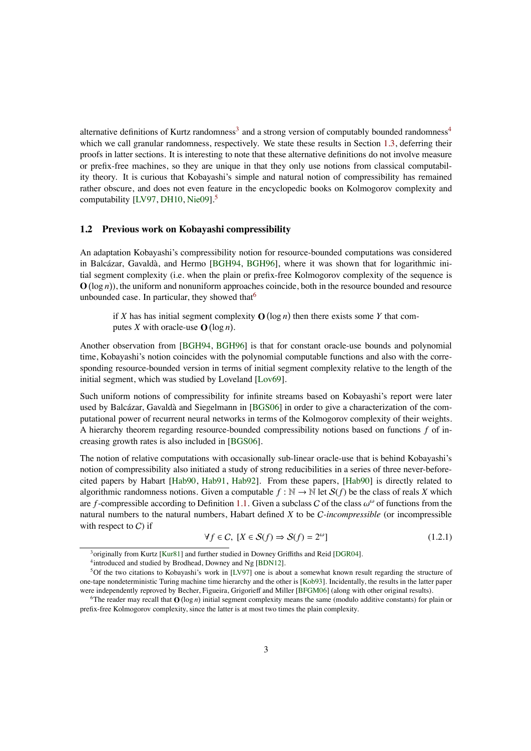alternative definitions of Kurtz randomness<sup>3</sup> and a strong version of computably bounded randomness<sup>4</sup> which we call granular randomness, respectively. We state these results in Section 1.3, deferring their proofs in latter sections. It is interesting to note that these alternative definitions do not involve measure or prefix-free machines, so they are unique in that they only use notions from classical computability theory. It is curious that Kobayashi's simple and natural notion of compressibility has remained rather obscure, and does not even feature in the encyclopedic books on Kolmogorov complexity and computability [LV97, DH10, Nie09].<sup>5</sup>

## **1.2 Previous work on Kobayashi compressibility**

An adaptation Kobayashi's compressibility notion for resource-bounded computations was considered in Balcázar, Gavaldà, and Hermo [BGH94, BGH96], where it was shown that for logarithmic initial segment complexity (i.e. when the plain or prefix-free Kolmogorov complexity of the sequence is  $O(\log n)$ , the uniform and nonuniform approaches coincide, both in the resource bounded and resource unbounded case. In particular, they showed that  $6$ 

if *X* has has initial segment complexity  $O(\log n)$  then there exists some *Y* that computes *X* with oracle-use  $O(\log n)$ .

Another observation from [BGH94, BGH96] is that for constant oracle-use bounds and polynomial time, Kobayashi's notion coincides with the polynomial computable functions and also with the corresponding resource-bounded version in terms of initial segment complexity relative to the length of the initial segment, which was studied by Loveland [Lov69].

Such uniform notions of compressibility for infinite streams based on Kobayashi's report were later used by Balcázar, Gavaldà and Siegelmann in [BGS06] in order to give a characterization of the computational power of recurrent neural networks in terms of the Kolmogorov complexity of their weights. A hierarchy theorem regarding resource-bounded compressibility notions based on functions *f* of increasing growth rates is also included in [BGS06].

The notion of relative computations with occasionally sub-linear oracle-use that is behind Kobayashi's notion of compressibility also initiated a study of strong reducibilities in a series of three never-beforecited papers by Habart [Hab90, Hab91, Hab92]. From these papers, [Hab90] is directly related to algorithmic randomness notions. Given a computable  $f : \mathbb{N} \to \mathbb{N}$  let  $S(f)$  be the class of reals *X* which are *f*-compressible according to Definition 1.1. Given a subclass C of the class  $\omega^{\omega}$  of functions from the natural numbers to the natural numbers, Habart defined *X* to be C*-incompressible* (or incompressible with respect to  $C$ ) if

$$
\forall f \in C, \ [X \in \mathcal{S}(f) \Rightarrow \mathcal{S}(f) = 2^{\omega}] \tag{1.2.1}
$$

<sup>&</sup>lt;sup>3</sup>originally from Kurtz [Kur81] and further studied in Downey Griffiths and Reid [DGR04].

<sup>&</sup>lt;sup>4</sup>introduced and studied by Brodhead, Downey and Ng [BDN12].

<sup>5</sup>Of the two citations to Kobayashi's work in [LV97] one is about a somewhat known result regarding the structure of one-tape nondeterministic Turing machine time hierarchy and the other is [Kob93]. Incidentally, the results in the latter paper were independently reproved by Becher, Figueira, Grigorieff and Miller [BFGM06] (along with other original results).

<sup>&</sup>lt;sup>6</sup>The reader may recall that  $O(\log n)$  initial segment complexity means the same (modulo additive constants) for plain or prefix-free Kolmogorov complexity, since the latter is at most two times the plain complexity.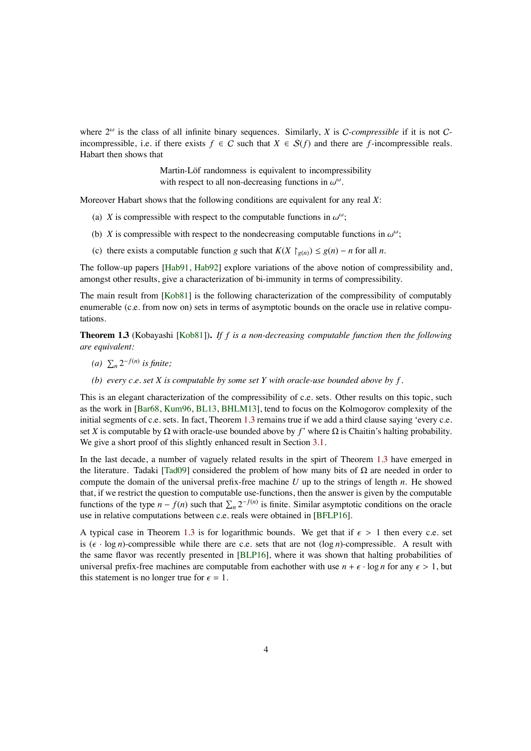where  $2^{\omega}$  is the class of all infinite binary sequences. Similarly, *X* is *C*-compressible if it is not *C*incompressible, i.e. if there exists  $f \in C$  such that  $X \in S(f)$  and there are *f*-incompressible reals. Habart then shows that

> Martin-Löf randomness is equivalent to incompressibility with respect to all non-decreasing functions in  $\omega^{\omega}$ .

Moreover Habart shows that the following conditions are equivalent for any real *X*:

- (a) *X* is compressible with respect to the computable functions in  $\omega^{\omega}$ ;
- (b) *X* is compressible with respect to the nondecreasing computable functions in  $\omega^{\omega}$ ;
- (c) there exists a computable function *g* such that  $K(X \upharpoonright_{g(n)}) \leq g(n) n$  for all *n*.

The follow-up papers [Hab91, Hab92] explore variations of the above notion of compressibility and, amongst other results, give a characterization of bi-immunity in terms of compressibility.

The main result from [Kob81] is the following characterization of the compressibility of computably enumerable (c.e. from now on) sets in terms of asymptotic bounds on the oracle use in relative computations.

**Theorem 1.3** (Kobayashi [Kob81])**.** *If f is a non-decreasing computable function then the following are equivalent:*

- $(a)$   $\sum_{n} 2^{-f(n)}$  *is finite*;
- *(b) every c.e. set X is computable by some set Y with oracle-use bounded above by f .*

This is an elegant characterization of the compressibility of c.e. sets. Other results on this topic, such as the work in [Bar68, Kum96, BL13, BHLM13], tend to focus on the Kolmogorov complexity of the initial segments of c.e. sets. In fact, Theorem 1.3 remains true if we add a third clause saying 'every c.e. set *X* is computable by  $\Omega$  with oracle-use bounded above by *f*' where  $\Omega$  is Chaitin's halting probability. We give a short proof of this slightly enhanced result in Section 3.1.

In the last decade, a number of vaguely related results in the spirt of Theorem 1.3 have emerged in the literature. Tadaki [Tad09] considered the problem of how many bits of  $\Omega$  are needed in order to compute the domain of the universal prefix-free machine *U* up to the strings of length *n*. He showed that, if we restrict the question to computable use-functions, then the answer is given by the computable functions of the type  $n - f(n)$  such that  $\sum_{n} 2^{-f(n)}$  is finite. Similar asymptotic conditions on the oracle use in relative computations between c.e. reals were obtained in [BFLP16].

A typical case in Theorem 1.3 is for logarithmic bounds. We get that if  $\epsilon > 1$  then every c.e. set is  $(\epsilon \cdot \log n)$ -compressible while there are c.e. sets that are not  $(\log n)$ -compressible. A result with the same flavor was recently presented in [BLP16], where it was shown that halting probabilities of universal prefix-free machines are computable from eachother with use  $n + \epsilon \cdot \log n$  for any  $\epsilon > 1$ , but this statement is no longer true for  $\epsilon = 1$ .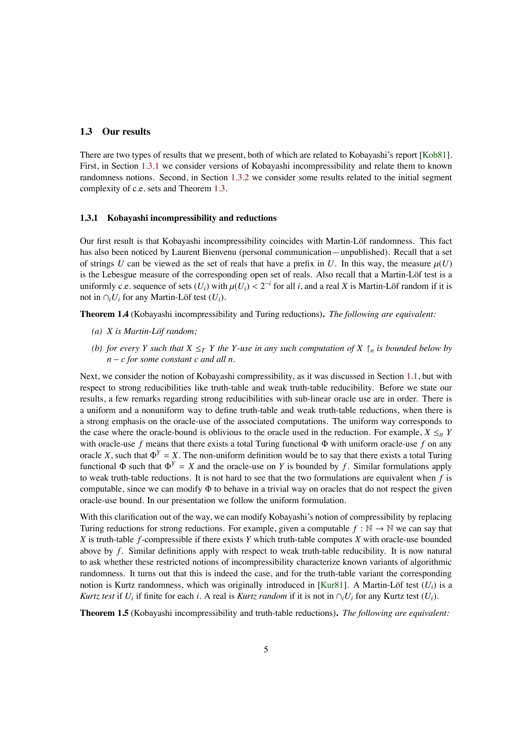## **1.3 Our results**

There are two types of results that we present, both of which are related to Kobayashi's report [Kob81]. First, in Section 1.3.1 we consider versions of Kobayashi incompressibility and relate them to known randomness notions. Second, in Section 1.3.2 we consider some results related to the initial segment complexity of c.e. sets and Theorem 1.3.

#### **1.3.1 Kobayashi incompressibility and reductions**

Our first result is that Kobayashi incompressibility coincides with Martin-Löf randomness. This fact has also been noticed by Laurent Bienvenu (personal communication—unpublished). Recall that a set of strings *U* can be viewed as the set of reals that have a prefix in *U*. In this way, the measure  $\mu(U)$ is the Lebesgue measure of the corresponding open set of reals. Also recall that a Martin-Löf test is a uniformly c.e. sequence of sets  $(U_i)$  with  $\mu(U_i) < 2^{-i}$  for all *i*, and a real *X* is Martin-Löf random if it is not in  $∩<sub>i</sub>U<sub>i</sub>$  for any Martin-Löf test  $(U<sub>i</sub>)$ .

**Theorem 1.4** (Kobayashi incompressibility and Turing reductions)**.** *The following are equivalent:*

- *(a) X is Martin-Löf random;*
- *(b) for every Y such that*  $X \leq_T Y$  *the Y-use in any such computation of X*  $\mid_n$  *is bounded below by n* − *c for some constant c and all n.*

Next, we consider the notion of Kobayashi compressibility, as it was discussed in Section 1.1, but with respect to strong reducibilities like truth-table and weak truth-table reducibility. Before we state our results, a few remarks regarding strong reducibilities with sub-linear oracle use are in order. There is a uniform and a nonuniform way to define truth-table and weak truth-table reductions, when there is a strong emphasis on the oracle-use of the associated computations. The uniform way corresponds to the case where the oracle-bound is oblivious to the oracle used in the reduction. For example,  $X \leq t$  *Y* with oracle-use *f* means that there exists a total Turing functional Φ with uniform oracle-use *f* on any oracle *X*, such that  $\Phi^{Y} = X$ . The non-uniform definition would be to say that there exists a total Turing functional Φ such that Φ*<sup>Y</sup>* = *X* and the oracle-use on *Y* is bounded by *f* . Similar formulations apply to weak truth-table reductions. It is not hard to see that the two formulations are equivalent when *f* is computable, since we can modify Φ to behave in a trivial way on oracles that do not respect the given oracle-use bound. In our presentation we follow the uniform formulation.

With this clarification out of the way, we can modify Kobayashi's notion of compressibility by replacing Turing reductions for strong reductions. For example, given a computable  $f : \mathbb{N} \to \mathbb{N}$  we can say that *X* is truth-table *f*-compressible if there exists *Y* which truth-table computes *X* with oracle-use bounded above by *f* . Similar definitions apply with respect to weak truth-table reducibility. It is now natural to ask whether these restricted notions of incompressibility characterize known variants of algorithmic randomness. It turns out that this is indeed the case, and for the truth-table variant the corresponding notion is Kurtz randomness, which was originally introduced in [Kur81]. A Martin-Löf test (*Ui*) is a *Kurtz test* if *U<sub>i</sub>* if finite for each *i*. A real is *Kurtz random* if it is not in  $\cap_i U_i$  for any Kurtz test  $(U_i)$ .

**Theorem 1.5** (Kobayashi incompressibility and truth-table reductions)**.** *The following are equivalent:*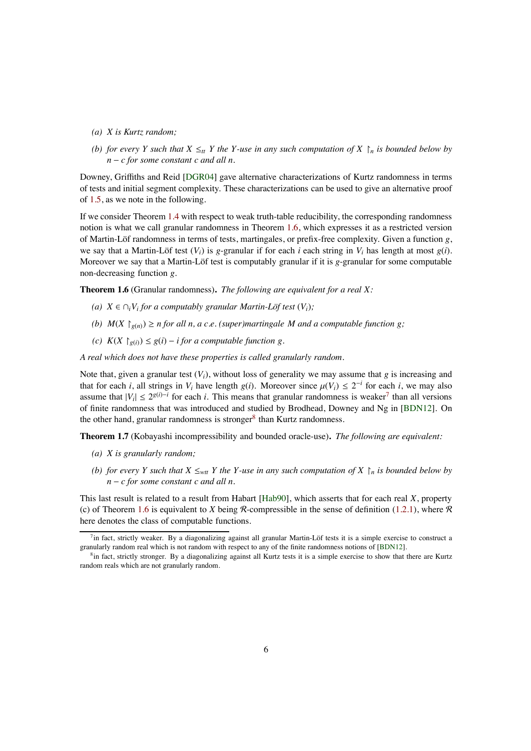- *(a) X is Kurtz random;*
- *(b) for every Y such that*  $X \leq_{tt} Y$  *the Y-use in any such computation of X*  $\mid_n$  *is bounded below by n* − *c for some constant c and all n.*

Downey, Griffiths and Reid [DGR04] gave alternative characterizations of Kurtz randomness in terms of tests and initial segment complexity. These characterizations can be used to give an alternative proof of 1.5, as we note in the following.

If we consider Theorem 1.4 with respect to weak truth-table reducibility, the corresponding randomness notion is what we call granular randomness in Theorem 1.6, which expresses it as a restricted version of Martin-Löf randomness in terms of tests, martingales, or prefix-free complexity. Given a function *g*, we say that a Martin-Löf test  $(V_i)$  is g-granular if for each *i* each string in  $V_i$  has length at most  $g(i)$ . Moreover we say that a Martin-Löf test is computably granular if it is *g*-granular for some computable non-decreasing function *g*.

**Theorem 1.6** (Granular randomness)**.** *The following are equivalent for a real X:*

- *(a)*  $X ∈ ∩<sub>i</sub>V<sub>i</sub> for a computably granular Martin-Löf test (V<sub>i</sub>);$
- *(b)*  $M(X \restriction_{g(n)}) \ge n$  *for all n, a c.e. (super)martingale M and a computable function g*;
- *(c)*  $K(X \upharpoonright_{g(i)})$  ≤  $g(i) i$  *for a computable function g.*

*A real which does not have these properties is called granularly random.*

Note that, given a granular test  $(V_i)$ , without loss of generality we may assume that  $g$  is increasing and that for each *i*, all strings in  $V_i$  have length  $g(i)$ . Moreover since  $\mu(V_i) \leq 2^{-i}$  for each *i*, we may also assume that  $|V_i| \leq 2^{g(i)-i}$  for each *i*. This means that granular randomness is weaker<sup>7</sup> than all versions of finite randomness that was introduced and studied by Brodhead, Downey and Ng in [BDN12]. On the other hand, granular randomness is stronger $<sup>8</sup>$  than Kurtz randomness.</sup>

**Theorem 1.7** (Kobayashi incompressibility and bounded oracle-use)**.** *The following are equivalent:*

- *(a) X is granularly random;*
- *(b) for every Y such that X*  $\leq_{wtt}$  *Y the Y-use in any such computation of X*  $\restriction_n$  *is bounded below by n* − *c for some constant c and all n.*

This last result is related to a result from Habart [Hab90], which asserts that for each real *X*, property (c) of Theorem 1.6 is equivalent to *X* being *R*-compressible in the sense of definition (1.2.1), where *R* here denotes the class of computable functions.

 $^7$ in fact, strictly weaker. By a diagonalizing against all granular Martin-Löf tests it is a simple exercise to construct a granularly random real which is not random with respect to any of the finite randomness notions of [BDN12].

 $8$ in fact, strictly stronger. By a diagonalizing against all Kurtz tests it is a simple exercise to show that there are Kurtz random reals which are not granularly random.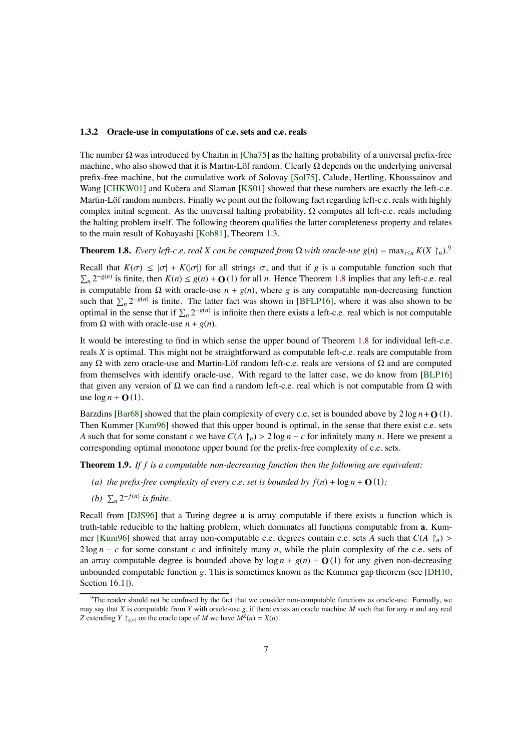#### **1.3.2 Oracle-use in computations of c.e. sets and c.e. reals**

The number  $\Omega$  was introduced by Chaitin in [Cha75] as the halting probability of a universal prefix-free machine, who also showed that it is Martin-Löf random. Clearly  $\Omega$  depends on the underlying universal prefix-free machine, but the cumulative work of Solovay [Sol75], Calude, Hertling, Khoussainov and Wang [CHKW01] and Kučera and Slaman [KS01] showed that these numbers are exactly the left-c.e. Martin-Löf random numbers. Finally we point out the following fact regarding left-c.e. reals with highly complex initial segment. As the universal halting probability,  $\Omega$  computes all left-c.e. reals including the halting problem itself. The following theorem qualifies the latter completeness property and relates to the main result of Kobayashi [Kob81], Theorem 1.3.

**Theorem 1.8.** *Every left-c.e. real X can be computed from*  $\Omega$  *with oracle-use*  $g(n) = \max_{i \leq n} K(X \restriction_{n})$ .<sup>9</sup>

Recall that  $K(\sigma) \leq |\sigma| + K(|\sigma|)$  for all strings  $\sigma$ , and that if *g* is a computable function such that  $\sum_{n} 2^{-g(n)}$  is finite, then  $K(n) \leq g(n) + O(1)$  for all *n*. Hence Theorem 1.8 implies that any left-c.e. real is computable from  $\Omega$  with oracle-use  $n + g(n)$ , where *g* is any computable non-decreasing function such that  $\sum_{n} 2^{-g(n)}$  is finite. The latter fact was shown in [BFLP16], where it was also shown to be optimal in the sense that if  $\sum_{n} 2^{-g(n)}$  is infinite then there exists a left-c.e. real which is not computable from  $\Omega$  with with oracle-use  $n + g(n)$ .

It would be interesting to find in which sense the upper bound of Theorem 1.8 for individual left-c.e. reals *X* is optimal. This might not be straightforward as computable left-c.e. reals are computable from any  $\Omega$  with zero oracle-use and Martin-Löf random left-c.e. reals are versions of  $\Omega$  and are computed from themselves with identify oracle-use. With regard to the latter case, we do know from [BLP16] that given any version of  $\Omega$  we can find a random left-c.e. real which is not computable from  $\Omega$  with use  $\log n + O(1)$ .

Barzdins [Bar68] showed that the plain complexity of every c.e. set is bounded above by  $2 \log n + O(1)$ . Then Kummer [Kum96] showed that this upper bound is optimal, in the sense that there exist c.e. sets *A* such that for some constant *c* we have  $C(A \nvert_n) > 2 \log n - c$  for infinitely many *n*. Here we present a corresponding optimal monotone upper bound for the prefix-free complexity of c.e. sets.

**Theorem 1.9.** *If f is a computable non-decreasing function then the following are equivalent:*

- *(a) the prefix-free complexity of every c.e. set is bounded by*  $f(n) + \log n + O(1)$ ;
- *(b)*  $\sum_{n} 2^{-f(n)}$  *is finite.*

Recall from [DJS96] that a Turing degree **a** is array computable if there exists a function which is truth-table reducible to the halting problem, which dominates all functions computable from **a**. Kummer [Kum96] showed that array non-computable c.e. degrees contain c.e. sets *A* such that  $C(A \mid n)$  >  $2 \log n - c$  for some constant *c* and infinitely many *n*, while the plain complexity of the c.e. sets of an array computable degree is bounded above by  $\log n + g(n) + O(1)$  for any given non-decreasing unbounded computable function *g*. This is sometimes known as the Kummer gap theorem (see [DH10, Section 16.11).

<sup>&</sup>lt;sup>9</sup>The reader should not be confused by the fact that we consider non-computable functions as oracle-use. Formally, we may say that *X* is computable from *Y* with oracle-use *g*, if there exists an oracle machine *M* such that for any *n* and any real *Z* extending *Y*  $\int_{g(n)}$  on the oracle tape of *M* we have  $M^Z(n) = X(n)$ .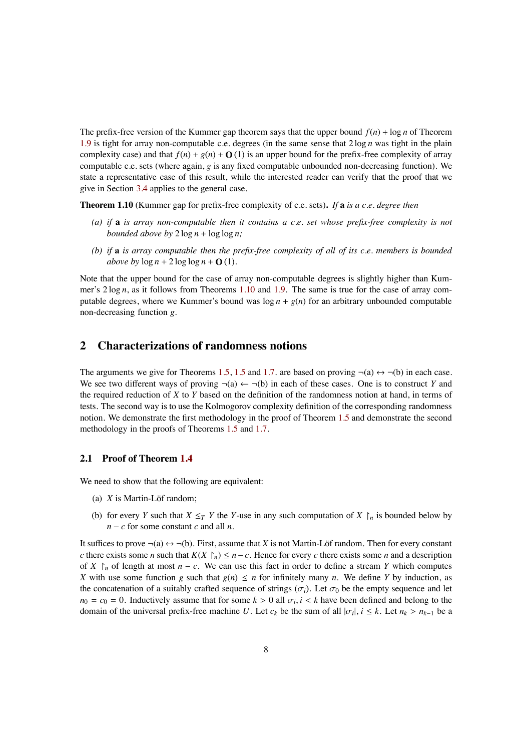The prefix-free version of the Kummer gap theorem says that the upper bound *f*(*n*) + log *n* of Theorem 1.9 is tight for array non-computable c.e. degrees (in the same sense that 2 log *n* was tight in the plain complexity case) and that  $f(n) + g(n) + O(1)$  is an upper bound for the prefix-free complexity of array computable c.e. sets (where again, *g* is any fixed computable unbounded non-decreasing function). We state a representative case of this result, while the interested reader can verify that the proof that we give in Section 3.4 applies to the general case.

**Theorem 1.10** (Kummer gap for prefix-free complexity of c.e. sets)**.** *If* **a** *is a c.e. degree then*

- *(a) if* **a** *is array non-computable then it contains a c.e. set whose prefix-free complexity is not bounded above by*  $2 \log n + \log \log n$ ;
- *(b) if* **a** *is array computable then the prefix-free complexity of all of its c.e. members is bounded above by*  $\log n + 2 \log \log n + O(1)$ *.*

Note that the upper bound for the case of array non-computable degrees is slightly higher than Kummer's 2 log *n*, as it follows from Theorems 1.10 and 1.9. The same is true for the case of array computable degrees, where we Kummer's bound was  $\log n + g(n)$  for an arbitrary unbounded computable non-decreasing function *g*.

# **2 Characterizations of randomness notions**

The arguments we give for Theorems 1.5, 1.5 and 1.7. are based on proving  $\neg(a) \leftrightarrow \neg(b)$  in each case. We see two different ways of proving  $\neg$ (a)  $\leftarrow$   $\neg$ (b) in each of these cases. One is to construct *Y* and the required reduction of *X* to *Y* based on the definition of the randomness notion at hand, in terms of tests. The second way is to use the Kolmogorov complexity definition of the corresponding randomness notion. We demonstrate the first methodology in the proof of Theorem 1.5 and demonstrate the second methodology in the proofs of Theorems 1.5 and 1.7.

# **2.1 Proof of Theorem 1.4**

We need to show that the following are equivalent:

- (a) *X* is Martin-Löf random;
- (b) for every *Y* such that  $X \leq_T Y$  the *Y*-use in any such computation of  $X \restriction_n$  is bounded below by *n* − *c* for some constant *c* and all *n*.

It suffices to prove  $\neg(a) \leftrightarrow \neg(b)$ . First, assume that *X* is not Martin-Löf random. Then for every constant *c* there exists some *n* such that  $K(X \restriction_n) \leq n - c$ . Hence for every *c* there exists some *n* and a description of *X*  $\restriction_n$  of length at most  $n - c$ . We can use this fact in order to define a stream *Y* which computes *X* with use some function *g* such that  $g(n) \leq n$  for infinitely many *n*. We define *Y* by induction, as the concatenation of a suitably crafted sequence of strings ( $\sigma_i$ ). Let  $\sigma_0$  be the empty sequence and let  $n_0 = c_0 = 0$ . Inductively assume that for some  $k > 0$  all  $\sigma_i$ ,  $i < k$  have been defined and belong to the domain of the universal prefix-free machine *U*. Let  $c_k$  be the sum of all  $|\sigma_i|, i \leq k$ . Let  $n_k > n_{k-1}$  be a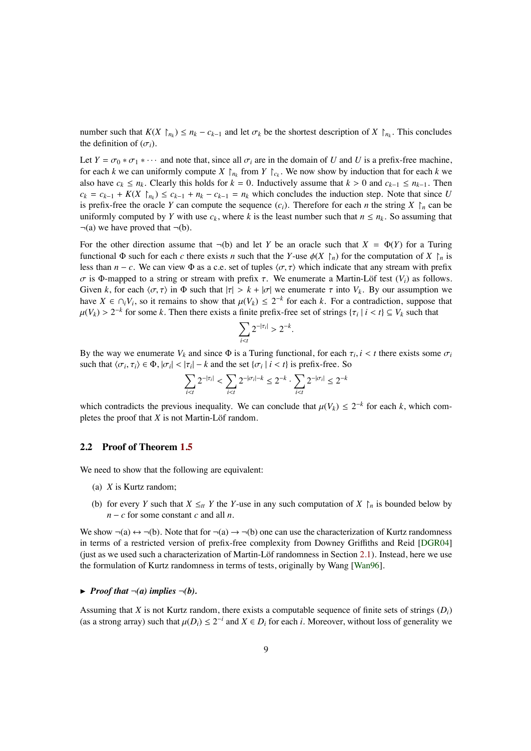number such that  $K(X \mid n_k) \leq n_k - c_{k-1}$  and let  $\sigma_k$  be the shortest description of  $X \mid n_k$ . This concludes the definition of  $(\sigma_i)$ .

Let  $Y = \sigma_0 * \sigma_1 * \cdots$  and note that, since all  $\sigma_i$  are in the domain of *U* and *U* is a prefix-free machine, for each *k* we can uniformly compute *X*  $\int_{u_k}$  from *Y*  $\int_{c_k}$ . We now show by induction that for each *k* we also have  $c_k \leq n_k$ . Clearly this holds for  $k = 0$ . Inductively assume that  $k > 0$  and  $c_{k-1} \leq n_{k-1}$ . Then  $c_k = c_{k-1} + K(X \rceil_{n_k}) \leq c_{k-1} + n_k - c_{k-1} = n_k$  which concludes the induction step. Note that since *U* is prefix-free the oracle *Y* can compute the sequence  $(c_i)$ . Therefore for each *n* the string *X*  $\upharpoonright$ <sub>*n*</sub> can be uniformly computed by *Y* with use  $c_k$ , where *k* is the least number such that  $n \leq n_k$ . So assuming that  $\neg$ (a) we have proved that  $\neg$ (b).

For the other direction assume that  $\neg$ (b) and let *Y* be an oracle such that  $X = \Phi(Y)$  for a Turing functional Φ such for each *c* there exists *n* such that the *Y*-use  $\phi(X \restriction_n)$  for the computation of *X*  $\restriction_n$  is less than *n* − *c*. We can view  $\Phi$  as a c.e. set of tuples  $\langle \sigma, \tau \rangle$  which indicate that any stream with prefix σ is Φ-mapped to a string or stream with prefix τ. We enumerate a Martin-Löf test (*Vi*) as follows. Given *k*, for each  $\langle \sigma, \tau \rangle$  in  $\Phi$  such that  $|\tau| > k + |\sigma|$  we enumerate  $\tau$  into  $V_k$ . By our assumption we have *X* ∈  $\cap_i V_i$ , so it remains to show that  $\mu(V_k) \leq 2^{-k}$  for each *k*. For a contradiction, suppose that  $\mu(V_k) > 2^{-k}$  for some *k*. Then there exists a finite prefix-free set of strings { $\tau_i | i < t$ } ⊆  $V_k$  such that

$$
\sum_{i 2^{-k}
$$

.

By the way we enumerate  $V_k$  and since  $\Phi$  is a Turing functional, for each  $\tau_i$ ,  $i < t$  there exists some  $\sigma_i$ such that  $\langle \sigma_i, \tau_i \rangle \in \Phi$ ,  $|\sigma_i| < |\tau_i| - k$  and the set  $\{\sigma_i \mid i < t\}$  is prefix-free. So

$$
\sum_{i
$$

which contradicts the previous inequality. We can conclude that  $\mu(V_k) \leq 2^{-k}$  for each *k*, which completes the proof that *X* is not Martin-Löf random.

## **2.2 Proof of Theorem 1.5**

We need to show that the following are equivalent:

- (a) *X* is Kurtz random;
- (b) for every *Y* such that  $X \leq_{tt} Y$  the *Y*-use in any such computation of  $X \restriction_n$  is bounded below by *n* − *c* for some constant *c* and all *n*.

We show  $\neg$ (a)  $\leftrightarrow$   $\neg$ (b). Note that for  $\neg$ (a)  $\rightarrow$   $\neg$ (b) one can use the characterization of Kurtz randomness in terms of a restricted version of prefix-free complexity from Downey Griffiths and Reid [DGR04] (just as we used such a characterization of Martin-Löf randomness in Section 2.1). Instead, here we use the formulation of Kurtz randomness in terms of tests, originally by Wang [Wan96].

# $\blacktriangleright$  *Proof that*  $\neg(a)$  *implies*  $\neg(b)$ *.*

Assuming that *X* is not Kurtz random, there exists a computable sequence of finite sets of strings (*Di*) (as a strong array) such that  $\mu(D_i) \leq 2^{-i}$  and  $X \in D_i$  for each *i*. Moreover, without loss of generality we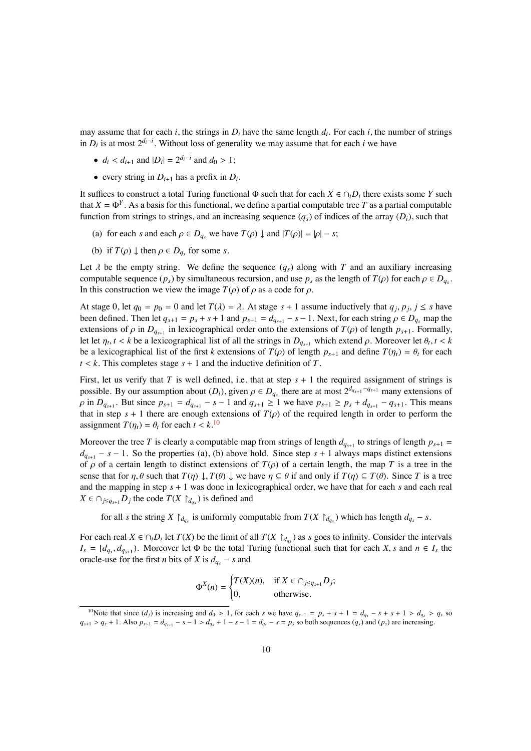may assume that for each *i*, the strings in  $D_i$  have the same length  $d_i$ . For each *i*, the number of strings in  $D_i$  is at most  $2^{d_i - i}$ . Without loss of generality we may assume that for each *i* we have

- $d_i < d_{i+1}$  and  $|D_i| = 2^{d_i i}$  and  $d_0 > 1$ ;
- every string in  $D_{i+1}$  has a prefix in  $D_i$ .

It suffices to construct a total Turing functional  $\Phi$  such that for each  $X \in \bigcap_i D_i$  there exists some *Y* such that  $X = \Phi^{Y}$ . As a basis for this functional, we define a partial computable tree *T* as a partial computable function from strings to strings, and an increasing sequence  $(q_s)$  of indices of the array  $(D_i)$ , such that

- (a) for each *s* and each  $\rho \in D_{q_s}$  we have  $T(\rho) \downarrow$  and  $|T(\rho)| = |\rho| s$ ;
- (b) if  $T(\rho) \downarrow$  then  $\rho \in D_{q_s}$  for some *s*.

Let  $\lambda$  be the empty string. We define the sequence  $(q<sub>s</sub>)$  along with *T* and an auxiliary increasing computable sequence  $(p_s)$  by simultaneous recursion, and use  $p_s$  as the length of  $T(\rho)$  for each  $\rho \in D_a$ . In this construction we view the image  $T(\rho)$  of  $\rho$  as a code for  $\rho$ .

At stage 0, let  $q_0 = p_0 = 0$  and let  $T(\lambda) = \lambda$ . At stage  $s + 1$  assume inductively that  $q_j, p_j, j \leq s$  have been defined. Then let  $q_{s+1} = p_s + s + 1$  and  $p_{s+1} = d_{q_{s+1}} - s - 1$ . Next, for each string  $\rho \in D_{q_s}$  map the extensions of  $\rho$  in  $D_{q_{s+1}}$  in lexicographical order onto the extensions of  $T(\rho)$  of length  $p_{s+1}$ . Formally, let let  $\eta_t$ ,  $t < k$  be a lexicographical list of all the strings in  $D_{q_{s+1}}$  which extend  $\rho$ . Moreover let  $\theta_t$ ,  $t < k$ be a lexicographical list of the first *k* extensions of  $T(\rho)$  of length  $p_{s+1}$  and define  $T(\eta_t) = \theta_t$  for each  $t < k$ . This completes stage  $s + 1$  and the inductive definition of *T*.

First, let us verify that *T* is well defined, i.e. that at step  $s + 1$  the required assignment of strings is possible. By our assumption about  $(D_i)$ , given  $\rho \in D_{q_s}$  there are at most  $2^{d_{q_{s+1}}-q_{s+1}}$  many extensions of  $\rho$  in  $D_{q_{s+1}}$ . But since  $p_{s+1} = d_{q_{s+1}} - s - 1$  and  $q_{s+1} \ge 1$  we have  $p_{s+1} \ge p_s + d_{q_{s+1}} - q_{s+1}$ . This means that in step  $s + 1$  there are enough extensions of  $T(\rho)$  of the required length in order to perform the assignment  $T(\eta_t) = \theta_t$  for each  $t < k$ .<sup>10</sup>

Moreover the tree *T* is clearly a computable map from strings of length  $d_{q_{s+1}}$  to strings of length  $p_{s+1}$  =  $d_{q_{s+1}} - s - 1$ . So the properties (a), (b) above hold. Since step  $s + 1$  always maps distinct extensions of  $\rho$  of a certain length to distinct extensions of  $T(\rho)$  of a certain length, the map *T* is a tree in the sense that for  $\eta$ ,  $\theta$  such that  $T(\eta) \downarrow$ ,  $T(\theta) \downarrow$  we have  $\eta \subseteq \theta$  if and only if  $T(\eta) \subseteq T(\theta)$ . Since *T* is a tree and the mapping in step *s* + 1 was done in lexicographical order, we have that for each *s* and each real *X* ∈ ∩<sub>*j*≤*q<sub>s+1</sub>*</sub> *D<sub>j</sub>* the code *T*(*X*  $\upharpoonright$ <sub>*d<sub>as</sub>*</sub>) is defined and

for all *s* the string *X*  $\upharpoonright_{d_q}$  is uniformly computable from  $T(X \upharpoonright_{d_q} Y)$  which has length  $d_q = s$ .

For each real  $X \in \bigcap_i D_i$  let  $T(X)$  be the limit of all  $T(X \restriction_{d_{a_k}})$  as *s* goes to infinity. Consider the intervals  $I_s = [d_{q_s}, d_{q_{s+1}})$ . Moreover let  $\Phi$  be the total Turing functional such that for each *X*, *s* and  $n \in I_s$  the oracle-use for the first *n* bits of *X* is  $d_{q_s}$  – *s* and

$$
\Phi^X(n) = \begin{cases} T(X)(n), & \text{if } X \in \bigcap_{j \le q_{s+1}} D_j; \\ 0, & \text{otherwise.} \end{cases}
$$

<sup>&</sup>lt;sup>10</sup>Note that since  $(d_j)$  is increasing and  $d_0 > 1$ , for each *s* we have  $q_{s+1} = p_s + s + 1 = d_{q_s} - s + s + 1 > d_{q_s} > q_s$  so  $q_{s+1} > q_s + 1$ . Also  $p_{s+1} = d_{q_{s+1}} - s - 1 > d_{q_s} + 1 - s - 1 = d_{q_s} - s = p_s$  so both sequences  $(q_s)$  and  $(p_s)$  are increasing.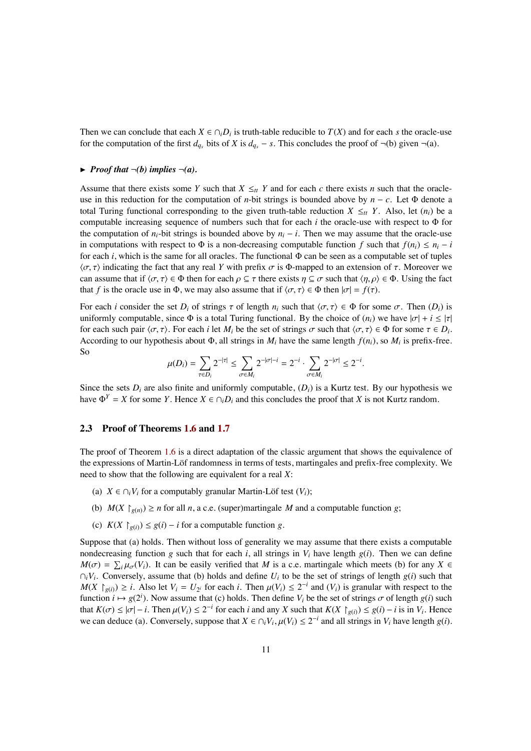Then we can conclude that each  $X \in \bigcap_i D_i$  is truth-table reducible to  $T(X)$  and for each *s* the oracle-use for the computation of the first  $d_{q_s}$  bits of *X* is  $d_{q_s}$  − *s*. This concludes the proof of ¬(b) given ¬(a).

#### $\blacktriangleright$  *Proof that*  $\neg(b)$  *implies*  $\neg(a)$ *.*

Assume that there exists some *Y* such that  $X \leq_{tt} Y$  and for each *c* there exists *n* such that the oracleuse in this reduction for the computation of *n*-bit strings is bounded above by  $n - c$ . Let  $\Phi$  denote a total Turing functional corresponding to the given truth-table reduction  $X \leq_t Y$ . Also, let  $(n_i)$  be a computable increasing sequence of numbers such that for each *i* the oracle-use with respect to Φ for the computation of  $n_i$ -bit strings is bounded above by  $n_i - i$ . Then we may assume that the oracle-use in computations with respect to  $\Phi$  is a non-decreasing computable function *f* such that  $f(n_i) \leq n_i - i$ for each  $i$ , which is the same for all oracles. The functional  $\Phi$  can be seen as a computable set of tuples  $\langle \sigma, \tau \rangle$  indicating the fact that any real *Y* with prefix  $\sigma$  is Φ-mapped to an extension of  $\tau$ . Moreover we can assume that if  $\langle \sigma, \tau \rangle \in \Phi$  then for each  $\rho \subseteq \tau$  there exists  $\eta \subseteq \sigma$  such that  $\langle \eta, \rho \rangle \in \Phi$ . Using the fact that *f* is the oracle use in  $\Phi$ , we may also assume that if  $\langle \sigma, \tau \rangle \in \Phi$  then  $|\sigma| = f(\tau)$ .

For each *i* consider the set  $D_i$  of strings  $\tau$  of length  $n_i$  such that  $\langle \sigma, \tau \rangle \in \Phi$  for some  $\sigma$ . Then  $(D_i)$  is uniformly computable, since  $\Phi$  is a total Turing functional. By the choice of  $(n_i)$  we have  $|\sigma| + i \le |\tau|$ for each such pair  $\langle \sigma, \tau \rangle$ . For each *i* let  $M_i$  be the set of strings  $\sigma$  such that  $\langle \sigma, \tau \rangle \in \Phi$  for some  $\tau \in D_i$ . According to our hypothesis about  $\Phi$ , all strings in  $M_i$  have the same length  $f(n_i)$ , so  $M_i$  is prefix-free. So

$$
\mu(D_i) = \sum_{\tau \in D_i} 2^{-|\tau|} \le \sum_{\sigma \in M_i} 2^{-|\sigma| - i} = 2^{-i} \cdot \sum_{\sigma \in M_i} 2^{-|\sigma|} \le 2^{-i}.
$$

Since the sets  $D_i$  are also finite and uniformly computable,  $(D_i)$  is a Kurtz test. By our hypothesis we have  $\Phi^Y = X$  for some *Y*. Hence  $X \in \bigcap_i D_i$  and this concludes the proof that *X* is not Kurtz random.

## **2.3 Proof of Theorems 1.6 and 1.7**

The proof of Theorem 1.6 is a direct adaptation of the classic argument that shows the equivalence of the expressions of Martin-Löf randomness in terms of tests, martingales and prefix-free complexity. We need to show that the following are equivalent for a real *X*:

- (a)  $X \in \bigcap_i V_i$  for a computably granular Martin-Löf test  $(V_i)$ ;
- (b)  $M(X \rvert_{g(n)}) \ge n$  for all *n*, a c.e. (super)martingale *M* and a computable function *g*;
- (c)  $K(X \upharpoonright_{g(i)}) \leq g(i) i$  for a computable function *g*.

Suppose that (a) holds. Then without loss of generality we may assume that there exists a computable nondecreasing function *g* such that for each *i*, all strings in  $V_i$  have length  $g(i)$ . Then we can define  $M(\sigma) = \sum_i \mu_{\sigma}(V_i)$ . It can be easily verified that *M* is a c.e. martingale which meets (b) for any *X* ∈  $\cap_i V_i$ . Conversely, assume that (b) holds and define  $U_i$  to be the set of strings of length  $g(i)$  such that *M*(*X*  $\upharpoonright_{g(i)}$ ) ≥ *i*. Also let  $V_i = U_{2^i}$  for each *i*. Then  $\mu(V_i) \leq 2^{-i}$  and  $(V_i)$  is granular with respect to the function  $i \mapsto g(2^i)$ . Now assume that (c) holds. Then define  $V_i$  be the set of strings  $\sigma$  of length  $g(i)$  such that *K*(*σ*) ≤ |*σ*| − *i*. Then  $\mu(V_i)$  ≤ 2<sup>-*i*</sup> for each *i* and any *X* such that *K*(*X* |  $\sigma(i)$ ) ≤ *g*(*i*) − *i* is in *V<sub>i</sub>*. Hence we can deduce (a). Conversely, suppose that *X* ∈  $\cap_i V_i$ ,  $\mu(V_i)$  ≤ 2<sup>-*i*</sup> and all strings in *V<sub>i</sub>* have length *g*(*i*).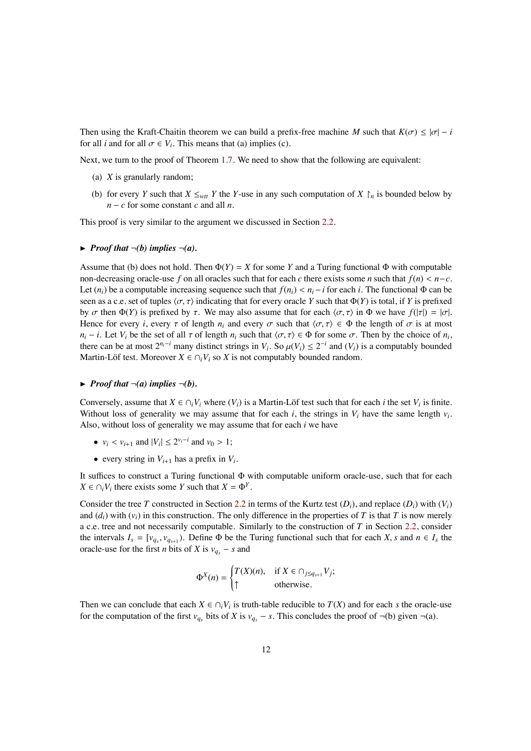Then using the Kraft-Chaitin theorem we can build a prefix-free machine *M* such that  $K(\sigma) \le |\sigma| - i$ for all *i* and for all  $\sigma \in V_i$ . This means that (a) implies (c).

Next, we turn to the proof of Theorem 1.7. We need to show that the following are equivalent:

- (a) *X* is granularly random;
- (b) for every *Y* such that  $X \leq_{wtt} Y$  the *Y*-use in any such computation of  $X \upharpoonright_n$  is bounded below by *n* − *c* for some constant *c* and all *n*.

This proof is very similar to the argument we discussed in Section 2.2.

## $\blacktriangleright$  *Proof that*  $\neg(b)$  *implies*  $\neg(a)$ *.*

Assume that (b) does not hold. Then  $\Phi(Y) = X$  for some *Y* and a Turing functional  $\Phi$  with computable non-decreasing oracle-use *f* on all oracles such that for each *c* there exists some *n* such that  $f(n) < n-c$ . Let  $(n_i)$  be a computable increasing sequence such that  $f(n_i) < n_i - i$  for each *i*. The functional  $\Phi$  can be seen as a c.e. set of tuples  $\langle \sigma, \tau \rangle$  indicating that for every oracle *Y* such that  $\Phi(Y)$  is total, if *Y* is prefixed by σ then Φ(*Y*) is prefixed by τ. We may also assume that for each ⟨σ, τ⟩ in Φ we have *f*(|τ|) = |σ|. Hence for every *i*, every  $\tau$  of length  $n_i$  and every  $\sigma$  such that  $\langle \sigma, \tau \rangle \in \Phi$  the length of  $\sigma$  is at most  $n_i - i$ . Let *V<sub>i</sub>* be the set of all  $\tau$  of length  $n_i$  such that  $\langle \sigma, \tau \rangle \in \Phi$  for some  $\sigma$ . Then by the choice of  $n_i$ , there can be at most  $2^{n_i-i}$  many distinct strings in  $V_i$ . So  $\mu(V_i) \leq 2^{-i}$  and  $(V_i)$  is a computably bounded Martin-Löf test. Moreover  $X \in \bigcap_i V_i$  so X is not computably bounded random.

#### $\blacktriangleright$  *Proof that*  $\neg(a)$  *implies*  $\neg(b)$ *.*

Conversely, assume that  $X \in \bigcap_i V_i$  where  $(V_i)$  is a Martin-Löf test such that for each *i* the set  $V_i$  is finite. Without loss of generality we may assume that for each  $i$ , the strings in  $V_i$  have the same length  $v_i$ . Also, without loss of generality we may assume that for each *i* we have

- $v_i < v_{i+1}$  and  $|V_i| \le 2^{v_i i}$  and  $v_0 > 1$ ;
- every string in  $V_{i+1}$  has a prefix in  $V_i$ .

It suffices to construct a Turing functional Φ with computable uniform oracle-use, such that for each  $X \in \bigcap_i V_i$  there exists some *Y* such that  $X = \Phi^Y$ .

Consider the tree *T* constructed in Section 2.2 in terms of the Kurtz test  $(D_i)$ , and replace  $(D_i)$  with  $(V_i)$ and  $(d_i)$  with  $(v_i)$  in this construction. The only difference in the properties of *T* is that *T* is now merely a c.e. tree and not necessarily computable. Similarly to the construction of *T* in Section 2.2, consider the intervals  $I_s = [v_{q_s}, v_{q_{s+1}}]$ . Define  $\Phi$  be the Turing functional such that for each *X*, *s* and  $n \in I_s$  the oracle-use for the first *n* bits of *X* is  $v_{q_s}$  – *s* and

$$
\Phi^X(n) = \begin{cases} T(X)(n), & \text{if } X \in \cap_{j \le q_{s+1}} V_j; \\ \uparrow & \text{otherwise.} \end{cases}
$$

Then we can conclude that each  $X \in \bigcap_i V_i$  is truth-table reducible to  $T(X)$  and for each *s* the oracle-use for the computation of the first  $v_{q_s}$  bits of *X* is  $v_{q_s}$  – *s*. This concludes the proof of ¬(b) given ¬(a).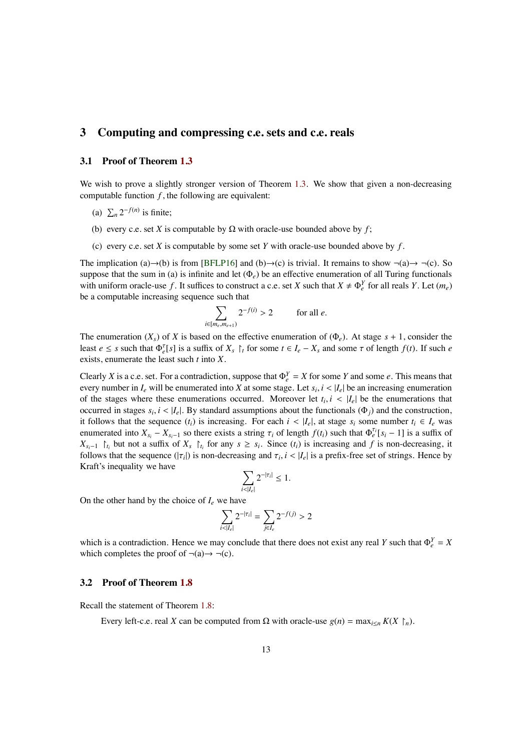# **3 Computing and compressing c.e. sets and c.e. reals**

# **3.1 Proof of Theorem 1.3**

We wish to prove a slightly stronger version of Theorem 1.3. We show that given a non-decreasing computable function *f* , the following are equivalent:

- (a)  $\sum_{n} 2^{-f(n)}$  is finite;
- (b) every c.e. set *X* is computable by  $\Omega$  with oracle-use bounded above by *f*;
- (c) every c.e. set *X* is computable by some set *Y* with oracle-use bounded above by *f* .

The implication (a)→(b) is from [BFLP16] and (b)→(c) is trivial. It remains to show  $\neg(a) \rightarrow \neg(c)$ . So suppose that the sum in (a) is infinite and let  $(\Phi_e)$  be an effective enumeration of all Turing functionals with uniform oracle-use *f*. It suffices to construct a c.e. set *X* such that  $X \neq \Phi_e^Y$  for all reals *Y*. Let  $(m_e)$ be a computable increasing sequence such that

$$
\sum_{i \in [m_e, m_{e+1})} 2^{-f(i)} > 2 \qquad \text{for all } e.
$$

The enumeration  $(X_s)$  of *X* is based on the effective enumeration of  $(\Phi_e)$ . At stage  $s + 1$ , consider the least  $e \leq s$  such that  $\Phi_e^{\tau}[s]$  is a suffix of  $X_s \upharpoonright_t$  for some  $t \in I_e - X_s$  and some  $\tau$  of length  $f(t)$ . If such  $e$ exists, enumerate the least such *t* into *X*.

Clearly *X* is a c.e. set. For a contradiction, suppose that  $\Phi_e^Y = X$  for some *Y* and some *e*. This means that every number in  $I_e$  will be enumerated into *X* at some stage. Let  $s_i$ ,  $i < |I_e|$  be an increasing enumeration of the stages where these enumerations occurred. Moreover let  $t_i$ ,  $i < |I_e|$  be the enumerations that occurred in stages  $s_i$ ,  $i < |I_e|$ . By standard assumptions about the functionals  $(\Phi_i)$  and the construction, it follows that the sequence  $(t_i)$  is increasing. For each  $i < |I_e|$ , at stage  $s_i$  some number  $t_i \in I_e$  was enumerated into  $X_{s_i} - X_{s_i-1}$  so there exists a string  $\tau_i$  of length  $f(t_i)$  such that  $\Phi_e^{\tau_i}[s_i-1]$  is a suffix of *X<sub>si</sub>*−1  $\upharpoonright$ *t<sub>i</sub>* but not a suffix of  $X_s$   $\upharpoonright$ *t<sub>i</sub>* for any  $s \geq s_i$ . Since  $(t_i)$  is increasing and *f* is non-decreasing, it follows that the sequence  $(|\tau_i|)$  is non-decreasing and  $\tau_i$ ,  $i < |I_e|$  is a prefix-free set of strings. Hence by Kraft's inequality we have

$$
\sum_{i<|I_e|} 2^{-|\tau_i|} \leq 1.
$$

On the other hand by the choice of  $I_e$  we have

$$
\sum_{i<|I_e|}2^{-|\tau_i|}=\sum_{j\in I_e}2^{-f(j)}>2
$$

which is a contradiction. Hence we may conclude that there does not exist any real *Y* such that  $\Phi_e^Y = X$ which completes the proof of  $\neg(a) \rightarrow \neg(c)$ .

## **3.2 Proof of Theorem 1.8**

Recall the statement of Theorem 1.8:

Every left-c.e. real *X* can be computed from  $\Omega$  with oracle-use  $g(n) = \max_{i \leq n} K(X \restriction_n)$ .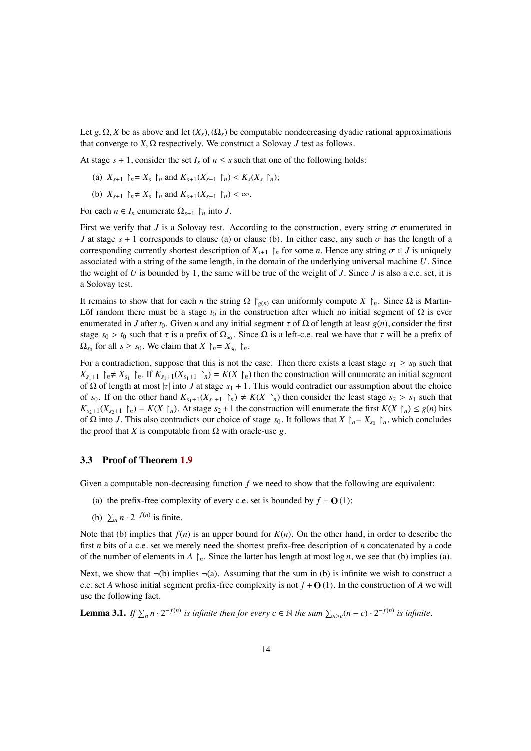Let *g*,  $\Omega$ , *X* be as above and let  $(X_s)$ ,  $(\Omega_s)$  be computable nondecreasing dyadic rational approximations that converge to  $X, \Omega$  respectively. We construct a Solovay  $J$  test as follows.

At stage  $s + 1$ , consider the set  $I_s$  of  $n \leq s$  such that one of the following holds:

- (a)  $X_{s+1}$   $\upharpoonright_n = X_s$   $\upharpoonright_n$  and  $K_{s+1}(X_{s+1} \upharpoonright_n) < K_s(X_s \upharpoonright_n);$
- (b)  $X_{s+1} \upharpoonright_n \neq X_s \upharpoonright_n$  and  $K_{s+1}(X_{s+1} \upharpoonright_n) < \infty$ .

For each  $n \in I_n$  enumerate  $\Omega_{s+1} \restriction_n$  into *J*.

First we verify that *J* is a Solovay test. According to the construction, every string  $\sigma$  enumerated in *J* at stage  $s + 1$  corresponds to clause (a) or clause (b). In either case, any such  $\sigma$  has the length of a corresponding currently shortest description of  $X_{s+1}$  |*n* for some *n*. Hence any string  $\sigma \in J$  is uniquely associated with a string of the same length, in the domain of the underlying universal machine *U*. Since the weight of  $U$  is bounded by 1, the same will be true of the weight of  $J$ . Since  $J$  is also a c.e. set, it is a Solovay test.

It remains to show that for each *n* the string  $\Omega \restriction_{g(n)}$  can uniformly compute *X*  $\restriction_n$ . Since  $\Omega$  is Martin-Löf random there must be a stage  $t_0$  in the construction after which no initial segment of  $\Omega$  is ever enumerated in *J* after  $t_0$ . Given *n* and any initial segment  $\tau$  of  $\Omega$  of length at least  $g(n)$ , consider the first stage  $s_0 > t_0$  such that  $\tau$  is a prefix of  $\Omega_{s_0}$ . Since  $\Omega$  is a left-c.e. real we have that  $\tau$  will be a prefix of  $\Omega_{s_0}$  for all  $s \geq s_0$ . We claim that  $X \upharpoonright_n = X_{s_0} \upharpoonright_n$ .

For a contradiction, suppose that this is not the case. Then there exists a least stage  $s_1 \geq s_0$  such that  $X_{s_1+1}$   $\uparrow_n \neq X_{s_1}$   $\uparrow_n$ . If  $K_{s_1+1}(X_{s_1+1} \uparrow_n) = K(X \uparrow_n)$  then the construction will enumerate an initial segment of Ω of length at most  $|\tau|$  into *J* at stage  $s_1 + 1$ . This would contradict our assumption about the choice of *s*<sub>0</sub>. If on the other hand  $K_{s_1+1}(X_{s_1+1} \upharpoonright n) \neq K(X \upharpoonright n)$  then consider the least stage  $s_2 > s_1$  such that  $K_{s_2+1}(X_{s_2+1} \upharpoonright n) = K(X \upharpoonright n)$ . At stage  $s_2 + 1$  the construction will enumerate the first  $K(X \upharpoonright n) \le g(n)$  bits of Ω into *J*. This also contradicts our choice of stage  $s_0$ . It follows that *X*  $\uparrow$ <sub>*n*</sub>= *X<sub>s0</sub>*  $\uparrow$ <sub>*n*</sub>, which concludes the proof that *X* is computable from  $\Omega$  with oracle-use *g*.

#### **3.3 Proof of Theorem 1.9**

Given a computable non-decreasing function *f* we need to show that the following are equivalent:

- (a) the prefix-free complexity of every c.e. set is bounded by  $f + O(1)$ ;
- (b)  $\sum_{n} n \cdot 2^{-f(n)}$  is finite.

Note that (b) implies that  $f(n)$  is an upper bound for  $K(n)$ . On the other hand, in order to describe the first *n* bits of a c.e. set we merely need the shortest prefix-free description of *n* concatenated by a code of the number of elements in *A*  $\upharpoonright$ <sub>*n*</sub>. Since the latter has length at most log *n*, we see that (b) implies (a).

Next, we show that  $\neg$ (b) implies  $\neg$ (a). Assuming that the sum in (b) is infinite we wish to construct a c.e. set *A* whose initial segment prefix-free complexity is not  $f + O(1)$ . In the construction of *A* we will use the following fact.

**Lemma 3.1.** *If*  $\sum_{n} n \cdot 2^{-f(n)}$  *is infinite then for every*  $c \in \mathbb{N}$  *the sum*  $\sum_{n>c} (n-c) \cdot 2^{-f(n)}$  *is infinite.*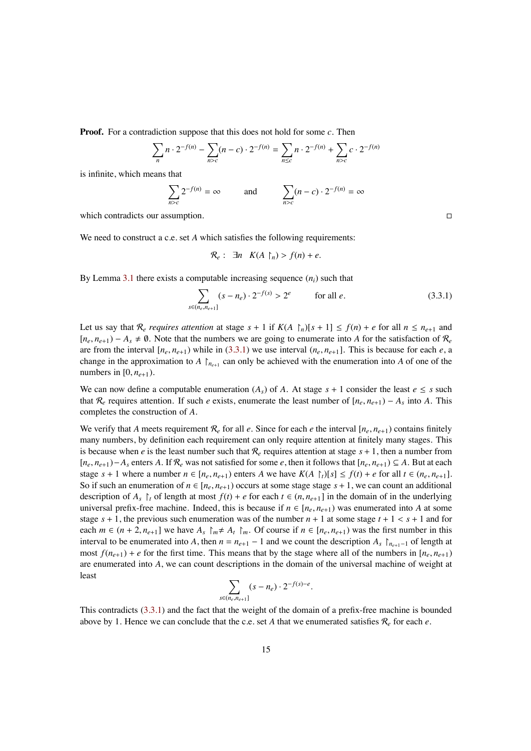**Proof.** For a contradiction suppose that this does not hold for some *c*. Then

$$
\sum_{n} n \cdot 2^{-f(n)} - \sum_{n > c} (n - c) \cdot 2^{-f(n)} = \sum_{n \leq c} n \cdot 2^{-f(n)} + \sum_{n > c} c \cdot 2^{-f(n)}
$$

is infinite, which means that

$$
\sum_{n>c} 2^{-f(n)} = \infty \quad \text{and} \quad \sum_{n>c} (n-c) \cdot 2^{-f(n)} = \infty
$$

which contradicts our assumption.  $\Box$ 

We need to construct a c.e. set *A* which satisfies the following requirements:

$$
\mathcal{R}_e: \quad \exists n \quad K(A \upharpoonright_n) > f(n) + e.
$$

By Lemma 3.1 there exists a computable increasing sequence  $(n<sub>i</sub>)$  such that

$$
\sum_{s \in (n_e, n_{e+1}]} (s - n_e) \cdot 2^{-f(s)} > 2^e \qquad \text{for all } e. \tag{3.3.1}
$$

Let us say that  $\mathcal{R}_e$  *requires attention* at stage  $s + 1$  if  $K(A \restriction_n)[s + 1] \leq f(n) + e$  for all  $n \leq n_{e+1}$  and  $[n_e, n_{e+1}) - A_s \neq 0$ . Note that the numbers we are going to enumerate into *A* for the satisfaction of  $\mathcal{R}_e$ are from the interval  $[n_e, n_{e+1})$  while in (3.3.1) we use interval  $(n_e, n_{e+1})$ . This is because for each  $e$ , a change in the approximation to *A*  $\upharpoonright_{n_{e+1}}$  can only be achieved with the enumeration into *A* of one of the numbers in  $[0, n_{e+1})$ .

We can now define a computable enumeration  $(A<sub>s</sub>)$  of *A*. At stage  $s + 1$  consider the least  $e \leq s$  such that  $\mathcal{R}_e$  requires attention. If such *e* exists, enumerate the least number of  $[n_e, n_{e+1}) - A_s$  into *A*. This completes the construction of *A*.

We verify that *A* meets requirement  $\mathcal{R}_e$  for all *e*. Since for each *e* the interval  $[n_e, n_{e+1})$  contains finitely many numbers, by definition each requirement can only require attention at finitely many stages. This is because when *e* is the least number such that  $\mathcal{R}_e$  requires attention at stage  $s + 1$ , then a number from  $[n_e, n_{e+1})$ −*A<sub>s</sub>* enters *A*. If  $\mathcal{R}_e$  was not satisfied for some *e*, then it follows that  $[n_e, n_{e+1}) \subseteq A$ . But at each stage  $s + 1$  where a number  $n \in [n_e, n_{e+1})$  enters A we have  $K(A \restriction t)[s] \leq f(t) + e$  for all  $t \in (n_e, n_{e+1}]$ . So if such an enumeration of  $n \in [n_e, n_{e+1})$  occurs at some stage stage  $s + 1$ , we can count an additional description of  $A_s$   $\uparrow_t$  of length at most  $f(t) + e$  for each  $t \in (n, n_{e+1}]$  in the domain of in the underlying universal prefix-free machine. Indeed, this is because if  $n \in [n_e, n_{e+1})$  was enumerated into A at some stage  $s + 1$ , the previous such enumeration was of the number  $n + 1$  at some stage  $t + 1 < s + 1$  and for each  $m \in (n+2, n_{e+1}]$  we have  $A_s \upharpoonright_m \neq A_t \upharpoonright_m$ . Of course if  $n \in [n_e, n_{e+1}]$  was the first number in this interval to be enumerated into *A*, then  $n = n_{e+1} - 1$  and we count the description  $A_s \upharpoonright_{n_{e+1}-1}$  of length at most  $f(n_{e+1}) + e$  for the first time. This means that by the stage where all of the numbers in  $[n_e, n_{e+1})$ are enumerated into *A*, we can count descriptions in the domain of the universal machine of weight at least

$$
\sum_{s \in (n_e, n_{e+1}]} (s - n_e) \cdot 2^{-f(s) - e}
$$

.

This contradicts (3.3.1) and the fact that the weight of the domain of a prefix-free machine is bounded above by 1. Hence we can conclude that the c.e. set *A* that we enumerated satisfies R*<sup>e</sup>* for each *e*.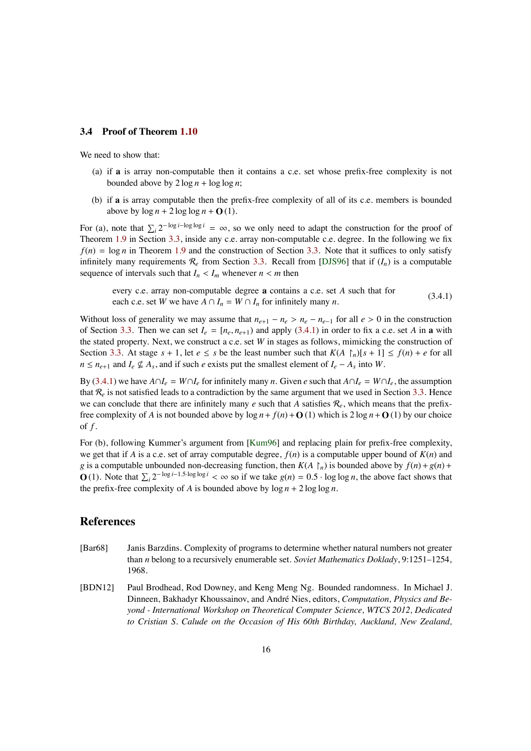#### **3.4 Proof of Theorem 1.10**

We need to show that:

- (a) if **a** is array non-computable then it contains a c.e. set whose prefix-free complexity is not bounded above by  $2 \log n + \log \log n$ ;
- (b) if **a** is array computable then the prefix-free complexity of all of its c.e. members is bounded above by  $\log n + 2 \log \log n + O(1)$ .

For (a), note that  $\sum_i 2^{-\log i - \log \log i} = \infty$ , so we only need to adapt the construction for the proof of Theorem 1.9 in Section 3.3, inside any c.e. array non-computable c.e. degree. In the following we fix  $f(n) = \log n$  in Theorem 1.9 and the construction of Section 3.3. Note that it suffices to only satisfy infinitely many requirements  $\mathcal{R}_e$  from Section 3.3. Recall from [DJS96] that if  $(I_n)$  is a computable sequence of intervals such that  $I_n < I_m$  whenever  $n < m$  then

every c.e. array non-computable degree **a** contains a c.e. set *A* such that for each c.e. set *W* we have  $A \cap I_n = W \cap I_n$  for infinitely many *n*. (3.4.1)

Without loss of generality we may assume that  $n_{e+1} - n_e > n_e - n_{e-1}$  for all  $e > 0$  in the construction of Section 3.3. Then we can set  $I_e = [n_e, n_{e+1})$  and apply (3.4.1) in order to fix a c.e. set *A* in **a** with the stated property. Next, we construct a c.e. set *W* in stages as follows, mimicking the construction of Section 3.3. At stage  $s + 1$ , let  $e \leq s$  be the least number such that  $K(A \restriction_n)[s + 1] \leq f(n) + e$  for all *n* ≤ *n*<sub>e+1</sub> and *I<sub>e</sub>* ⊈ *A<sub>s</sub>*, and if such *e* exists put the smallest element of *I<sub>e</sub>* − *A<sub>s</sub>* into *W*.

By (3.4.1) we have  $A \cap I_e = W \cap I_e$  for infinitely many *n*. Given *e* such that  $A \cap I_e = W \cap I_e$ , the assumption that  $\mathcal{R}_e$  is not satisfied leads to a contradiction by the same argument that we used in Section 3.3. Hence we can conclude that there are infinitely many *e* such that *A* satisfies  $\mathcal{R}_e$ , which means that the prefixfree complexity of *A* is not bounded above by  $\log n + f(n) + O(1)$  which is  $2 \log n + O(1)$  by our choice of *f* .

For (b), following Kummer's argument from [Kum96] and replacing plain for prefix-free complexity, we get that if *A* is a c.e. set of array computable degree, *f*(*n*) is a computable upper bound of *K*(*n*) and *g* is a computable unbounded non-decreasing function, then  $K(A \restriction_n)$  is bounded above by  $f(n) + g(n) + g(n)$ **O** (1). Note that  $\sum_i 2^{-\log i - 1.5 \cdot \log \log i}$  < ∞ so if we take  $g(n) = 0.5 \cdot \log \log n$ , the above fact shows that the prefix-free complexity of *A* is bounded above by  $\log n + 2 \log \log n$ .

# **References**

- [Bar68] Janis Barzdins. Complexity of programs to determine whether natural numbers not greater than *n* belong to a recursively enumerable set. *Soviet Mathematics Doklady*, 9:1251–1254, 1968.
- [BDN12] Paul Brodhead, Rod Downey, and Keng Meng Ng. Bounded randomness. In Michael J. Dinneen, Bakhadyr Khoussainov, and André Nies, editors, *Computation, Physics and Beyond - International Workshop on Theoretical Computer Science, WTCS 2012, Dedicated to Cristian S. Calude on the Occasion of His 60th Birthday, Auckland, New Zealand,*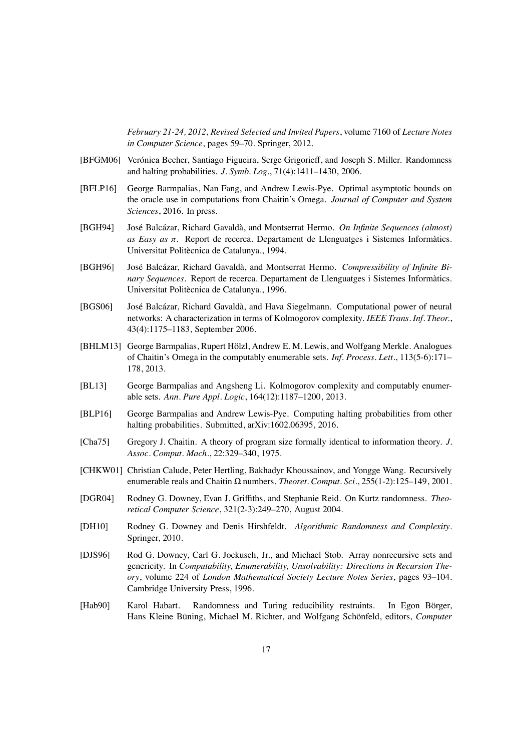*February 21-24, 2012, Revised Selected and Invited Papers*, volume 7160 of *Lecture Notes in Computer Science*, pages 59–70. Springer, 2012.

- [BFGM06] Verónica Becher, Santiago Figueira, Serge Grigorieff, and Joseph S. Miller. Randomness and halting probabilities. *J. Symb. Log.*, 71(4):1411–1430, 2006.
- [BFLP16] George Barmpalias, Nan Fang, and Andrew Lewis-Pye. Optimal asymptotic bounds on the oracle use in computations from Chaitin's Omega. *Journal of Computer and System Sciences*, 2016. In press.
- [BGH94] José Balcázar, Richard Gavaldà, and Montserrat Hermo. *On Infinite Sequences (almost) as Easy as* π. Report de recerca. Departament de Llenguatges i Sistemes Informàtics. Universitat Politècnica de Catalunya., 1994.
- [BGH96] José Balcázar, Richard Gavaldà, and Montserrat Hermo. *Compressibility of Infinite Binary Sequences*. Report de recerca. Departament de Llenguatges i Sistemes Informàtics. Universitat Politècnica de Catalunya., 1996.
- [BGS06] José Balcázar, Richard Gavaldà, and Hava Siegelmann. Computational power of neural networks: A characterization in terms of Kolmogorov complexity. *IEEE Trans. Inf. Theor.*, 43(4):1175–1183, September 2006.
- [BHLM13] George Barmpalias, Rupert Hölzl, Andrew E. M. Lewis, and Wolfgang Merkle. Analogues of Chaitin's Omega in the computably enumerable sets. *Inf. Process. Lett.*, 113(5-6):171– 178, 2013.
- [BL13] George Barmpalias and Angsheng Li. Kolmogorov complexity and computably enumerable sets. *Ann. Pure Appl. Logic*, 164(12):1187–1200, 2013.
- [BLP16] George Barmpalias and Andrew Lewis-Pye. Computing halting probabilities from other halting probabilities. Submitted, arXiv:1602.06395, 2016.
- [Cha75] Gregory J. Chaitin. A theory of program size formally identical to information theory. *J. Assoc. Comput. Mach.*, 22:329–340, 1975.
- [CHKW01] Christian Calude, Peter Hertling, Bakhadyr Khoussainov, and Yongge Wang. Recursively enumerable reals and Chaitin Ω numbers. *Theoret. Comput. Sci.*, 255(1-2):125–149, 2001.
- [DGR04] Rodney G. Downey, Evan J. Griffiths, and Stephanie Reid. On Kurtz randomness. *Theoretical Computer Science*, 321(2-3):249–270, August 2004.
- [DH10] Rodney G. Downey and Denis Hirshfeldt. *Algorithmic Randomness and Complexity*. Springer, 2010.
- [DJS96] Rod G. Downey, Carl G. Jockusch, Jr., and Michael Stob. Array nonrecursive sets and genericity. In *Computability, Enumerability, Unsolvability: Directions in Recursion Theory*, volume 224 of *London Mathematical Society Lecture Notes Series*, pages 93–104. Cambridge University Press, 1996.
- [Hab90] Karol Habart. Randomness and Turing reducibility restraints. In Egon Börger, Hans Kleine Büning, Michael M. Richter, and Wolfgang Schönfeld, editors, *Computer*